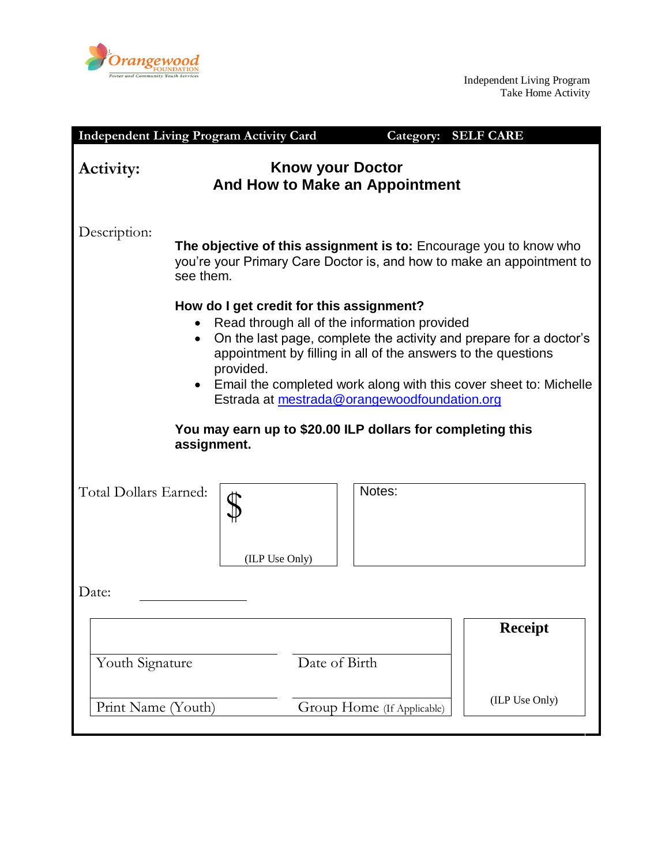

Independent Living Program Take Home Activity

|                       | <b>Independent Living Program Activity Card</b>                                                                                                         |                         | Category:                                                                                    | <b>SELF CARE</b>                                                                                                                                                                                         |  |
|-----------------------|---------------------------------------------------------------------------------------------------------------------------------------------------------|-------------------------|----------------------------------------------------------------------------------------------|----------------------------------------------------------------------------------------------------------------------------------------------------------------------------------------------------------|--|
| Activity:             |                                                                                                                                                         | <b>Know your Doctor</b> | And How to Make an Appointment                                                               |                                                                                                                                                                                                          |  |
| Description:          | The objective of this assignment is to: Encourage you to know who<br>you're your Primary Care Doctor is, and how to make an appointment to<br>see them. |                         |                                                                                              |                                                                                                                                                                                                          |  |
|                       | How do I get credit for this assignment?<br>$\bullet$<br>provided.<br>$\bullet$                                                                         |                         | Read through all of the information provided<br>Estrada at mestrada@orangewoodfoundation.org | On the last page, complete the activity and prepare for a doctor's<br>appointment by filling in all of the answers to the questions<br>Email the completed work along with this cover sheet to: Michelle |  |
|                       | You may earn up to \$20.00 ILP dollars for completing this<br>assignment.                                                                               |                         |                                                                                              |                                                                                                                                                                                                          |  |
| Total Dollars Earned: | (ILP Use Only)                                                                                                                                          |                         | Notes:                                                                                       |                                                                                                                                                                                                          |  |
| Date:                 |                                                                                                                                                         |                         |                                                                                              |                                                                                                                                                                                                          |  |
| Youth Signature       |                                                                                                                                                         | Date of Birth           |                                                                                              | <b>Receipt</b>                                                                                                                                                                                           |  |
| Print Name (Youth)    |                                                                                                                                                         |                         | Group Home (If Applicable)                                                                   | (ILP Use Only)                                                                                                                                                                                           |  |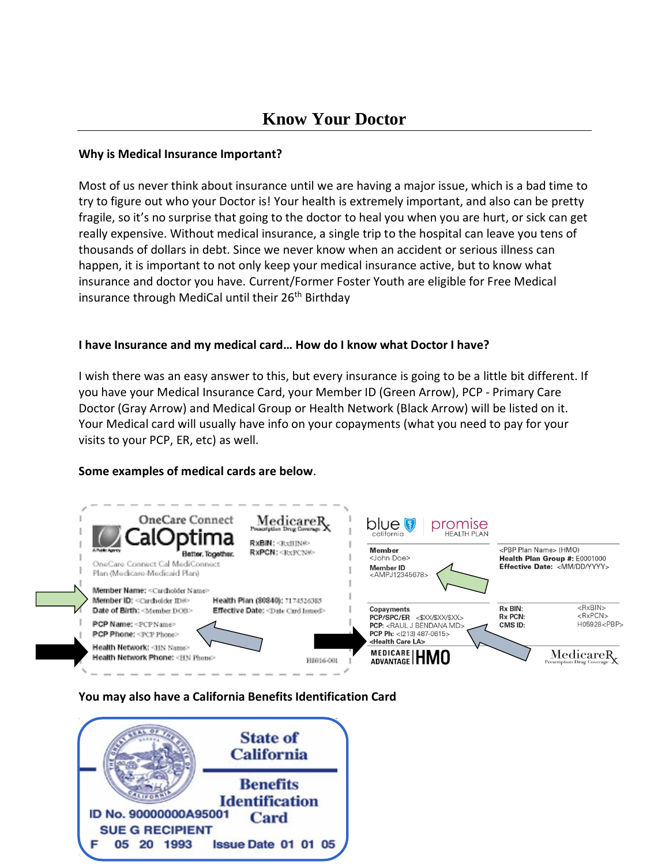# **Know Your Doctor**

#### **Why is Medical Insurance Important?**

Most of us never think about insurance until we are having a major issue, which is a bad time to try to figure out who your Doctor is! Your health is extremely important, and also can be pretty fragile, so it's no surprise that going to the doctor to heal you when you are hurt, or sick can get really expensive. Without medical insurance, a single trip to the hospital can leave you tens of thousands of dollars in debt. Since we never know when an accident or serious illness can happen, it is important to not only keep your medical insurance active, but to know what insurance and doctor you have. Current/Former Foster Youth are eligible for Free Medical insurance through MediCal until their 26<sup>th</sup> Birthday

### **I have Insurance and my medical card… How do I know what Doctor I have?**

I wish there was an easy answer to this, but every insurance is going to be a little bit different. If you have your Medical Insurance Card, your Member ID (Green Arrow), PCP - Primary Care Doctor (Gray Arrow) and Medical Group or Health Network (Black Arrow) will be listed on it. Your Medical card will usually have info on your copayments (what you need to pay for your visits to your PCP, ER, etc) as well.

## **Some examples of medical cards are below**.



## **You may also have a California Benefits Identification Card**

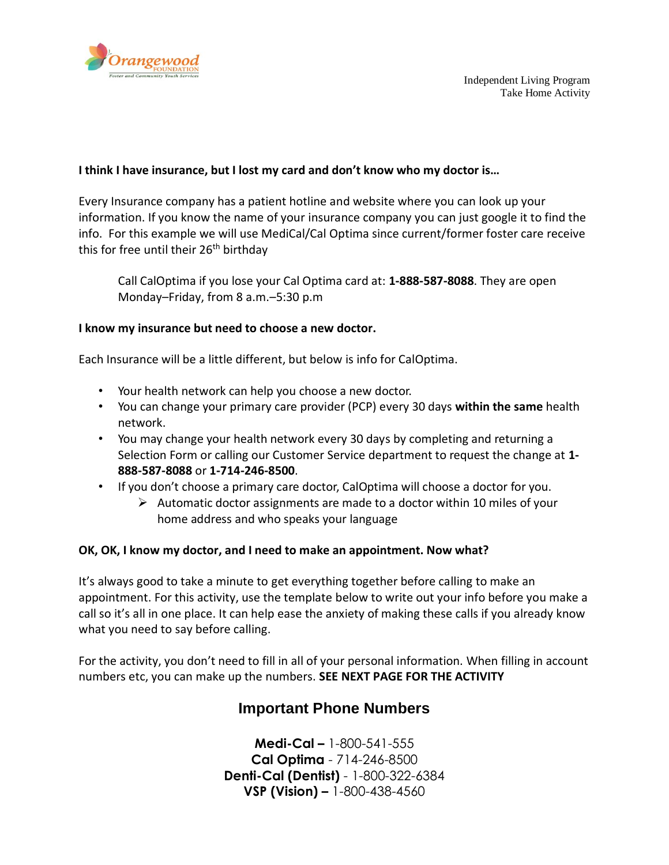

### **I think I have insurance, but I lost my card and don't know who my doctor is…**

Every Insurance company has a patient hotline and website where you can look up your information. If you know the name of your insurance company you can just google it to find the info. For this example we will use MediCal/Cal Optima since current/former foster care receive this for free until their 26<sup>th</sup> birthday

Call CalOptima if you lose your Cal Optima card at: **1-888-587-8088**. They are open Monday–Friday, from 8 a.m.–5:30 p.m

#### **I know my insurance but need to choose a new doctor.**

Each Insurance will be a little different, but below is info for CalOptima.

- Your health network can help you choose a new doctor.
- You can change your primary care provider (PCP) every 30 days **within the same** health network.
- You may change your health network every 30 days by completing and returning a Selection Form or calling our Customer Service department to request the change at **1- 888-587-8088** or **1-714-246-8500**.
- If you don't choose a primary care doctor, CalOptima will choose a doctor for you.
	- $\triangleright$  Automatic doctor assignments are made to a doctor within 10 miles of your home address and who speaks your language

#### **OK, OK, I know my doctor, and I need to make an appointment. Now what?**

It's always good to take a minute to get everything together before calling to make an appointment. For this activity, use the template below to write out your info before you make a call so it's all in one place. It can help ease the anxiety of making these calls if you already know what you need to say before calling.

For the activity, you don't need to fill in all of your personal information. When filling in account numbers etc, you can make up the numbers. **SEE NEXT PAGE FOR THE ACTIVITY**

## **Important Phone Numbers**

**Medi-Cal –** 1-800-541-555 **Cal Optima** - 714-246-8500 **Denti-Cal (Dentist)** - 1-800-322-6384 **VSP (Vision) –** 1-800-438-4560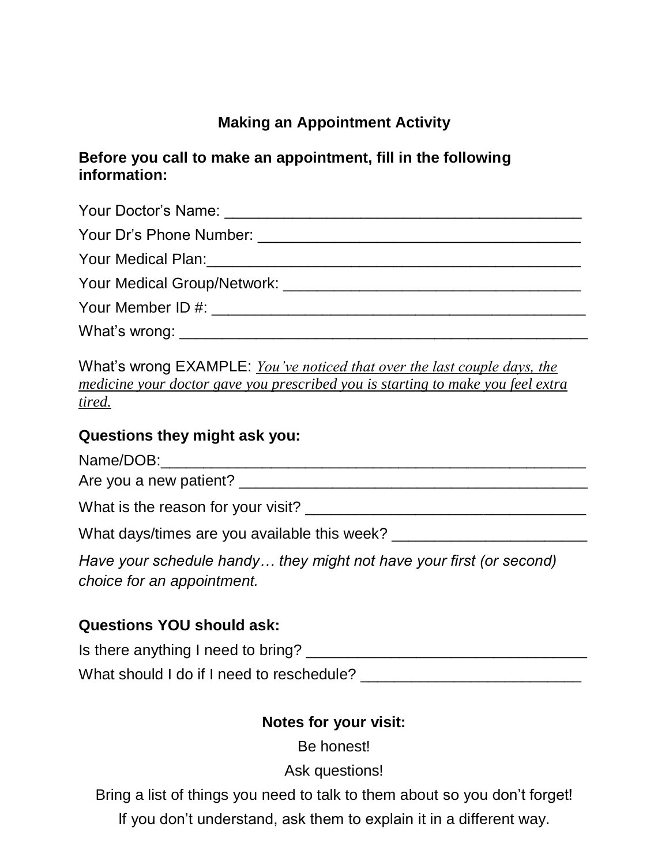# **Making an Appointment Activity**

## **Before you call to make an appointment, fill in the following information:**

What's wrong EXAMPLE: *You've noticed that over the last couple days, the medicine your doctor gave you prescribed you is starting to make you feel extra tired.*

## **Questions they might ask you:**

| Name/DOB:              |  |
|------------------------|--|
| Are you a new patient? |  |

What is the reason for your visit? What is the reason for your visit?

What days/times are you available this week? \_\_\_\_\_\_\_\_\_\_\_\_\_\_\_\_\_\_\_\_\_\_\_

*Have your schedule handy… they might not have your first (or second) choice for an appointment.* 

# **Questions YOU should ask:**

Is there anything I need to bring? \_\_\_\_\_\_\_\_\_\_\_\_\_\_\_\_\_\_\_\_\_\_\_\_\_\_\_\_\_\_\_\_\_

What should I do if I need to reschedule?

## **Notes for your visit:**

Be honest!

Ask questions!

Bring a list of things you need to talk to them about so you don't forget!

If you don't understand, ask them to explain it in a different way.